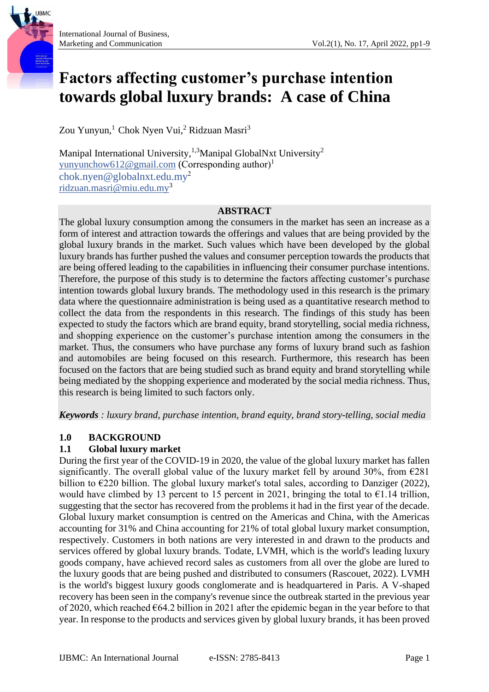# **Factors affecting customer's purchase intention towards global luxury brands: A case of China**

Zou Yunyun,<sup>1</sup> Chok Nyen Vui,<sup>2</sup> Ridzuan Masri<sup>3</sup>

Manipal International University,<sup>1,3</sup>Manipal GlobalNxt University<sup>2</sup> [yunyunchow612@gmail.com](mailto:yunyunchow612@gmail.com) (Corresponding author)<sup>1</sup> [chok.nyen@globalnxt.edu.my](mailto:chok.nyen@globalnxt.edu.my)<sup>2</sup> ridzuan.masri@miu.edu.my<sup>3</sup>

#### **ABSTRACT**

The global luxury consumption among the consumers in the market has seen an increase as a form of interest and attraction towards the offerings and values that are being provided by the global luxury brands in the market. Such values which have been developed by the global luxury brands has further pushed the values and consumer perception towards the products that are being offered leading to the capabilities in influencing their consumer purchase intentions. Therefore, the purpose of this study is to determine the factors affecting customer's purchase intention towards global luxury brands. The methodology used in this research is the primary data where the questionnaire administration is being used as a quantitative research method to collect the data from the respondents in this research. The findings of this study has been expected to study the factors which are brand equity, brand storytelling, social media richness, and shopping experience on the customer's purchase intention among the consumers in the market. Thus, the consumers who have purchase any forms of luxury brand such as fashion and automobiles are being focused on this research. Furthermore, this research has been focused on the factors that are being studied such as brand equity and brand storytelling while being mediated by the shopping experience and moderated by the social media richness. Thus, this research is being limited to such factors only.

*Keywords : luxury brand, purchase intention, brand equity, brand story-telling, social media*

### **1.0 BACKGROUND**

### **1.1 Global luxury market**

During the first year of the COVID-19 in 2020, the value of the global luxury market has fallen significantly. The overall global value of the luxury market fell by around 30%, from  $\epsilon$ 281 billion to €220 billion. The global luxury market's total sales, according to Danziger (2022), would have climbed by 13 percent to 15 percent in 2021, bringing the total to  $\epsilon$ 1.14 trillion, suggesting that the sector has recovered from the problems it had in the first year of the decade. Global luxury market consumption is centred on the Americas and China, with the Americas accounting for 31% and China accounting for 21% of total global luxury market consumption, respectively. Customers in both nations are very interested in and drawn to the products and services offered by global luxury brands. Todate, LVMH, which is the world's leading luxury goods company, have achieved record sales as customers from all over the globe are lured to the luxury goods that are being pushed and distributed to consumers (Rascouet, 2022). LVMH is the world's biggest luxury goods conglomerate and is headquartered in Paris. A V-shaped recovery has been seen in the company's revenue since the outbreak started in the previous year of 2020, which reached  $664.2$  billion in 2021 after the epidemic began in the year before to that year. In response to the products and services given by global luxury brands, it has been proved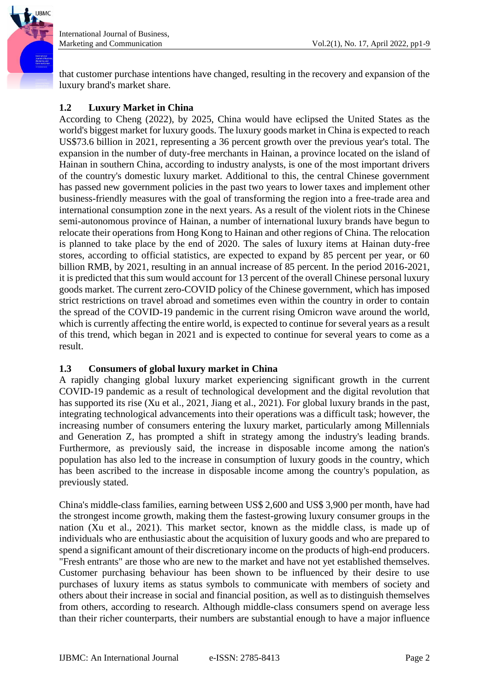

that customer purchase intentions have changed, resulting in the recovery and expansion of the luxury brand's market share.

## **1.2 Luxury Market in China**

According to Cheng (2022), by 2025, China would have eclipsed the United States as the world's biggest market for luxury goods. The luxury goods market in China is expected to reach US\$73.6 billion in 2021, representing a 36 percent growth over the previous year's total. The expansion in the number of duty-free merchants in Hainan, a province located on the island of Hainan in southern China, according to industry analysts, is one of the most important drivers of the country's domestic luxury market. Additional to this, the central Chinese government has passed new government policies in the past two years to lower taxes and implement other business-friendly measures with the goal of transforming the region into a free-trade area and international consumption zone in the next years. As a result of the violent riots in the Chinese semi-autonomous province of Hainan, a number of international luxury brands have begun to relocate their operations from Hong Kong to Hainan and other regions of China. The relocation is planned to take place by the end of 2020. The sales of luxury items at Hainan duty-free stores, according to official statistics, are expected to expand by 85 percent per year, or 60 billion RMB, by 2021, resulting in an annual increase of 85 percent. In the period 2016-2021, it is predicted that this sum would account for 13 percent of the overall Chinese personal luxury goods market. The current zero-COVID policy of the Chinese government, which has imposed strict restrictions on travel abroad and sometimes even within the country in order to contain the spread of the COVID-19 pandemic in the current rising Omicron wave around the world, which is currently affecting the entire world, is expected to continue for several years as a result of this trend, which began in 2021 and is expected to continue for several years to come as a result.

### **1.3 Consumers of global luxury market in China**

A rapidly changing global luxury market experiencing significant growth in the current COVID-19 pandemic as a result of technological development and the digital revolution that has supported its rise (Xu et al., 2021, Jiang et al., 2021). For global luxury brands in the past, integrating technological advancements into their operations was a difficult task; however, the increasing number of consumers entering the luxury market, particularly among Millennials and Generation Z, has prompted a shift in strategy among the industry's leading brands. Furthermore, as previously said, the increase in disposable income among the nation's population has also led to the increase in consumption of luxury goods in the country, which has been ascribed to the increase in disposable income among the country's population, as previously stated.

China's middle-class families, earning between US\$ 2,600 and US\$ 3,900 per month, have had the strongest income growth, making them the fastest-growing luxury consumer groups in the nation (Xu et al., 2021). This market sector, known as the middle class, is made up of individuals who are enthusiastic about the acquisition of luxury goods and who are prepared to spend a significant amount of their discretionary income on the products of high-end producers. "Fresh entrants" are those who are new to the market and have not yet established themselves. Customer purchasing behaviour has been shown to be influenced by their desire to use purchases of luxury items as status symbols to communicate with members of society and others about their increase in social and financial position, as well as to distinguish themselves from others, according to research. Although middle-class consumers spend on average less than their richer counterparts, their numbers are substantial enough to have a major influence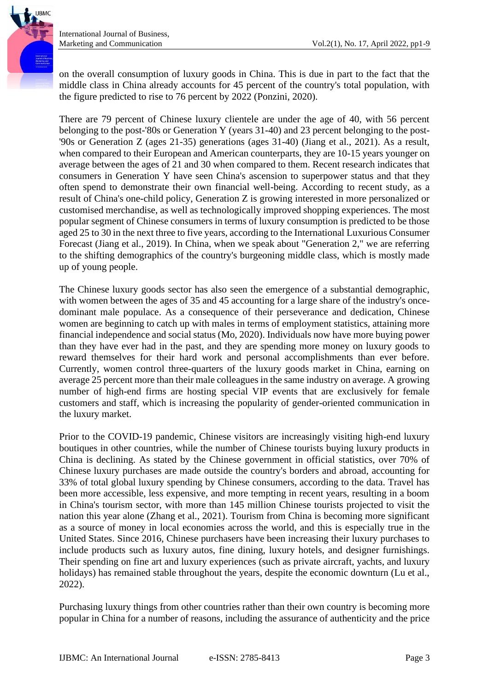

on the overall consumption of luxury goods in China. This is due in part to the fact that the middle class in China already accounts for 45 percent of the country's total population, with the figure predicted to rise to 76 percent by 2022 (Ponzini, 2020).

There are 79 percent of Chinese luxury clientele are under the age of 40, with 56 percent belonging to the post-'80s or Generation Y (years 31-40) and 23 percent belonging to the post- '90s or Generation Z (ages 21-35) generations (ages 31-40) (Jiang et al., 2021). As a result, when compared to their European and American counterparts, they are 10-15 years younger on average between the ages of 21 and 30 when compared to them. Recent research indicates that consumers in Generation Y have seen China's ascension to superpower status and that they often spend to demonstrate their own financial well-being. According to recent study, as a result of China's one-child policy, Generation Z is growing interested in more personalized or customised merchandise, as well as technologically improved shopping experiences. The most popular segment of Chinese consumers in terms of luxury consumption is predicted to be those aged 25 to 30 in the next three to five years, according to the International Luxurious Consumer Forecast (Jiang et al., 2019). In China, when we speak about "Generation 2," we are referring to the shifting demographics of the country's burgeoning middle class, which is mostly made up of young people.

The Chinese luxury goods sector has also seen the emergence of a substantial demographic, with women between the ages of 35 and 45 accounting for a large share of the industry's oncedominant male populace. As a consequence of their perseverance and dedication, Chinese women are beginning to catch up with males in terms of employment statistics, attaining more financial independence and social status (Mo, 2020). Individuals now have more buying power than they have ever had in the past, and they are spending more money on luxury goods to reward themselves for their hard work and personal accomplishments than ever before. Currently, women control three-quarters of the luxury goods market in China, earning on average 25 percent more than their male colleagues in the same industry on average. A growing number of high-end firms are hosting special VIP events that are exclusively for female customers and staff, which is increasing the popularity of gender-oriented communication in the luxury market.

Prior to the COVID-19 pandemic, Chinese visitors are increasingly visiting high-end luxury boutiques in other countries, while the number of Chinese tourists buying luxury products in China is declining. As stated by the Chinese government in official statistics, over 70% of Chinese luxury purchases are made outside the country's borders and abroad, accounting for 33% of total global luxury spending by Chinese consumers, according to the data. Travel has been more accessible, less expensive, and more tempting in recent years, resulting in a boom in China's tourism sector, with more than 145 million Chinese tourists projected to visit the nation this year alone (Zhang et al., 2021). Tourism from China is becoming more significant as a source of money in local economies across the world, and this is especially true in the United States. Since 2016, Chinese purchasers have been increasing their luxury purchases to include products such as luxury autos, fine dining, luxury hotels, and designer furnishings. Their spending on fine art and luxury experiences (such as private aircraft, yachts, and luxury holidays) has remained stable throughout the years, despite the economic downturn (Lu et al., 2022).

Purchasing luxury things from other countries rather than their own country is becoming more popular in China for a number of reasons, including the assurance of authenticity and the price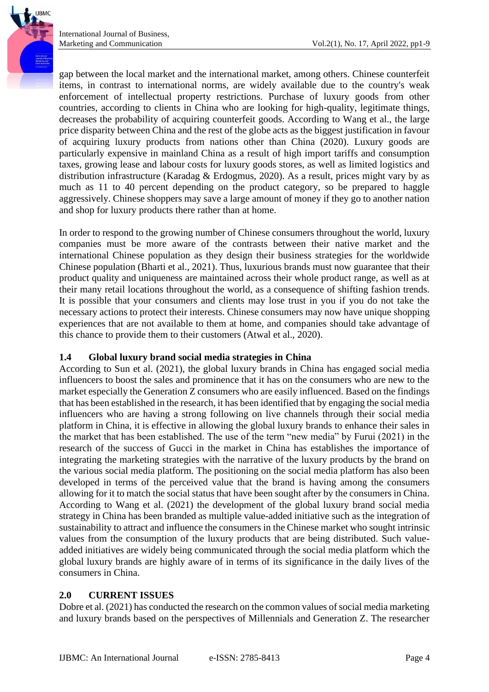gap between the local market and the international market, among others. Chinese counterfeit items, in contrast to international norms, are widely available due to the country's weak enforcement of intellectual property restrictions. Purchase of luxury goods from other countries, according to clients in China who are looking for high-quality, legitimate things, decreases the probability of acquiring counterfeit goods. According to Wang et al., the large price disparity between China and the rest of the globe acts as the biggest justification in favour of acquiring luxury products from nations other than China (2020). Luxury goods are particularly expensive in mainland China as a result of high import tariffs and consumption taxes, growing lease and labour costs for luxury goods stores, as well as limited logistics and distribution infrastructure (Karadag & Erdogmus, 2020). As a result, prices might vary by as much as 11 to 40 percent depending on the product category, so be prepared to haggle aggressively. Chinese shoppers may save a large amount of money if they go to another nation and shop for luxury products there rather than at home.

In order to respond to the growing number of Chinese consumers throughout the world, luxury companies must be more aware of the contrasts between their native market and the international Chinese population as they design their business strategies for the worldwide Chinese population (Bharti et al., 2021). Thus, luxurious brands must now guarantee that their product quality and uniqueness are maintained across their whole product range, as well as at their many retail locations throughout the world, as a consequence of shifting fashion trends. It is possible that your consumers and clients may lose trust in you if you do not take the necessary actions to protect their interests. Chinese consumers may now have unique shopping experiences that are not available to them at home, and companies should take advantage of this chance to provide them to their customers (Atwal et al., 2020).

### **1.4 Global luxury brand social media strategies in China**

According to Sun et al. (2021), the global luxury brands in China has engaged social media influencers to boost the sales and prominence that it has on the consumers who are new to the market especially the Generation Z consumers who are easily influenced. Based on the findings that has been established in the research, it has been identified that by engaging the social media influencers who are having a strong following on live channels through their social media platform in China, it is effective in allowing the global luxury brands to enhance their sales in the market that has been established. The use of the term "new media" by Furui (2021) in the research of the success of Gucci in the market in China has establishes the importance of integrating the marketing strategies with the narrative of the luxury products by the brand on the various social media platform. The positioning on the social media platform has also been developed in terms of the perceived value that the brand is having among the consumers allowing for it to match the social status that have been sought after by the consumers in China. According to Wang et al. (2021) the development of the global luxury brand social media strategy in China has been branded as multiple value-added initiative such as the integration of sustainability to attract and influence the consumers in the Chinese market who sought intrinsic values from the consumption of the luxury products that are being distributed. Such valueadded initiatives are widely being communicated through the social media platform which the global luxury brands are highly aware of in terms of its significance in the daily lives of the consumers in China.

### **2.0 CURRENT ISSUES**

Dobre et al. (2021) has conducted the research on the common values of social media marketing and luxury brands based on the perspectives of Millennials and Generation Z. The researcher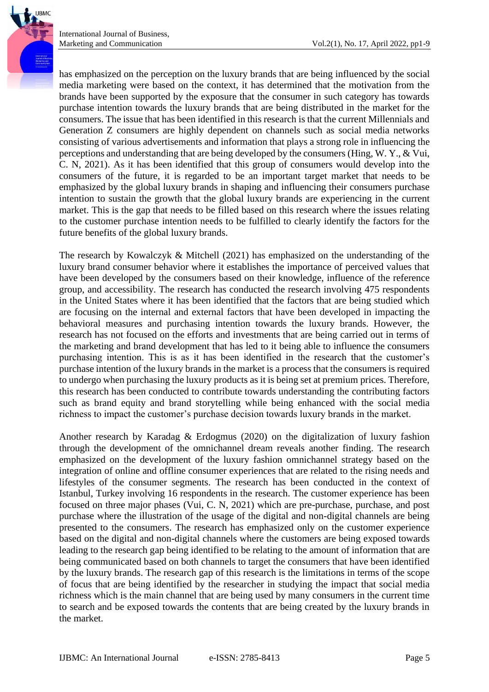has emphasized on the perception on the luxury brands that are being influenced by the social media marketing were based on the context, it has determined that the motivation from the brands have been supported by the exposure that the consumer in such category has towards purchase intention towards the luxury brands that are being distributed in the market for the consumers. The issue that has been identified in this research is that the current Millennials and Generation Z consumers are highly dependent on channels such as social media networks consisting of various advertisements and information that plays a strong role in influencing the perceptions and understanding that are being developed by the consumers (Hing, W. Y., & Vui, C. N, 2021). As it has been identified that this group of consumers would develop into the consumers of the future, it is regarded to be an important target market that needs to be emphasized by the global luxury brands in shaping and influencing their consumers purchase intention to sustain the growth that the global luxury brands are experiencing in the current market. This is the gap that needs to be filled based on this research where the issues relating to the customer purchase intention needs to be fulfilled to clearly identify the factors for the future benefits of the global luxury brands.

The research by Kowalczyk & Mitchell (2021) has emphasized on the understanding of the luxury brand consumer behavior where it establishes the importance of perceived values that have been developed by the consumers based on their knowledge, influence of the reference group, and accessibility. The research has conducted the research involving 475 respondents in the United States where it has been identified that the factors that are being studied which are focusing on the internal and external factors that have been developed in impacting the behavioral measures and purchasing intention towards the luxury brands. However, the research has not focused on the efforts and investments that are being carried out in terms of the marketing and brand development that has led to it being able to influence the consumers purchasing intention. This is as it has been identified in the research that the customer's purchase intention of the luxury brands in the market is a process that the consumers is required to undergo when purchasing the luxury products as it is being set at premium prices. Therefore, this research has been conducted to contribute towards understanding the contributing factors such as brand equity and brand storytelling while being enhanced with the social media richness to impact the customer's purchase decision towards luxury brands in the market.

Another research by Karadag & Erdogmus (2020) on the digitalization of luxury fashion through the development of the omnichannel dream reveals another finding. The research emphasized on the development of the luxury fashion omnichannel strategy based on the integration of online and offline consumer experiences that are related to the rising needs and lifestyles of the consumer segments. The research has been conducted in the context of Istanbul, Turkey involving 16 respondents in the research. The customer experience has been focused on three major phases (Vui, C. N, 2021) which are pre-purchase, purchase, and post purchase where the illustration of the usage of the digital and non-digital channels are being presented to the consumers. The research has emphasized only on the customer experience based on the digital and non-digital channels where the customers are being exposed towards leading to the research gap being identified to be relating to the amount of information that are being communicated based on both channels to target the consumers that have been identified by the luxury brands. The research gap of this research is the limitations in terms of the scope of focus that are being identified by the researcher in studying the impact that social media richness which is the main channel that are being used by many consumers in the current time to search and be exposed towards the contents that are being created by the luxury brands in the market.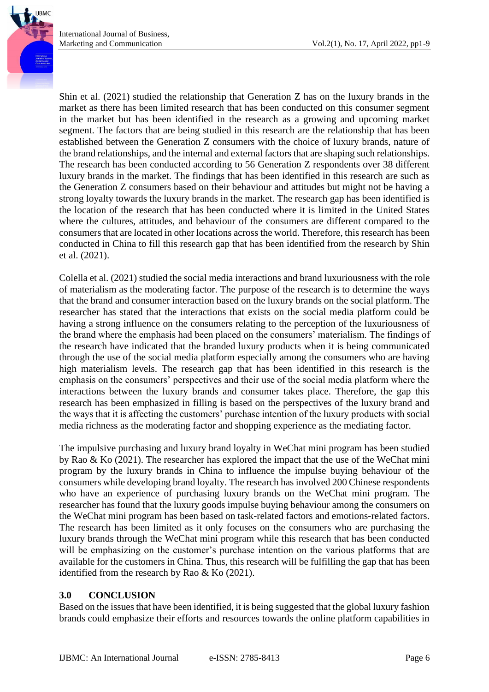Shin et al. (2021) studied the relationship that Generation Z has on the luxury brands in the market as there has been limited research that has been conducted on this consumer segment in the market but has been identified in the research as a growing and upcoming market segment. The factors that are being studied in this research are the relationship that has been established between the Generation Z consumers with the choice of luxury brands, nature of the brand relationships, and the internal and external factors that are shaping such relationships. The research has been conducted according to 56 Generation Z respondents over 38 different luxury brands in the market. The findings that has been identified in this research are such as the Generation Z consumers based on their behaviour and attitudes but might not be having a strong loyalty towards the luxury brands in the market. The research gap has been identified is the location of the research that has been conducted where it is limited in the United States where the cultures, attitudes, and behaviour of the consumers are different compared to the consumers that are located in other locations across the world. Therefore, this research has been conducted in China to fill this research gap that has been identified from the research by Shin et al. (2021).

Colella et al. (2021) studied the social media interactions and brand luxuriousness with the role of materialism as the moderating factor. The purpose of the research is to determine the ways that the brand and consumer interaction based on the luxury brands on the social platform. The researcher has stated that the interactions that exists on the social media platform could be having a strong influence on the consumers relating to the perception of the luxuriousness of the brand where the emphasis had been placed on the consumers' materialism. The findings of the research have indicated that the branded luxury products when it is being communicated through the use of the social media platform especially among the consumers who are having high materialism levels. The research gap that has been identified in this research is the emphasis on the consumers' perspectives and their use of the social media platform where the interactions between the luxury brands and consumer takes place. Therefore, the gap this research has been emphasized in filling is based on the perspectives of the luxury brand and the ways that it is affecting the customers' purchase intention of the luxury products with social media richness as the moderating factor and shopping experience as the mediating factor.

The impulsive purchasing and luxury brand loyalty in WeChat mini program has been studied by Rao & Ko (2021). The researcher has explored the impact that the use of the WeChat mini program by the luxury brands in China to influence the impulse buying behaviour of the consumers while developing brand loyalty. The research has involved 200 Chinese respondents who have an experience of purchasing luxury brands on the WeChat mini program. The researcher has found that the luxury goods impulse buying behaviour among the consumers on the WeChat mini program has been based on task-related factors and emotions-related factors. The research has been limited as it only focuses on the consumers who are purchasing the luxury brands through the WeChat mini program while this research that has been conducted will be emphasizing on the customer's purchase intention on the various platforms that are available for the customers in China. Thus, this research will be fulfilling the gap that has been identified from the research by Rao & Ko (2021).

### **3.0 CONCLUSION**

Based on the issues that have been identified, it is being suggested that the global luxury fashion brands could emphasize their efforts and resources towards the online platform capabilities in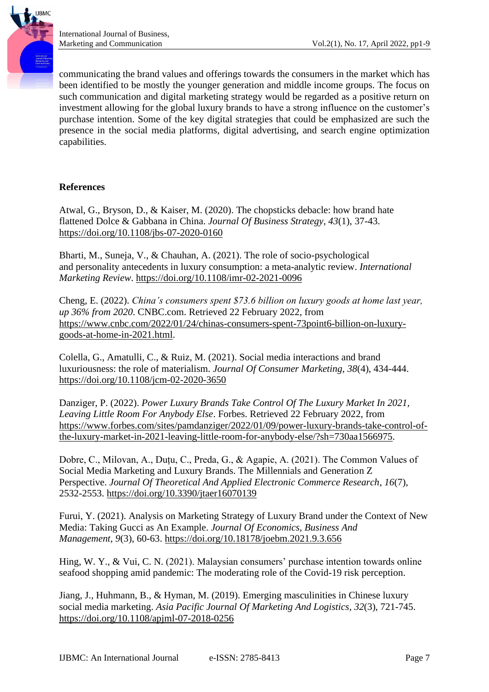

communicating the brand values and offerings towards the consumers in the market which has been identified to be mostly the younger generation and middle income groups. The focus on such communication and digital marketing strategy would be regarded as a positive return on investment allowing for the global luxury brands to have a strong influence on the customer's purchase intention. Some of the key digital strategies that could be emphasized are such the presence in the social media platforms, digital advertising, and search engine optimization capabilities.

#### **References**

Atwal, G., Bryson, D., & Kaiser, M. (2020). The chopsticks debacle: how brand hate flattened Dolce & Gabbana in China. *Journal Of Business Strategy*, *43*(1), 37-43. <https://doi.org/10.1108/jbs-07-2020-0160>

Bharti, M., Suneja, V., & Chauhan, A. (2021). The role of socio-psychological and personality antecedents in luxury consumption: a meta-analytic review. *International Marketing Review*.<https://doi.org/10.1108/imr-02-2021-0096>

Cheng, E. (2022). *China's consumers spent \$73.6 billion on luxury goods at home last year, up 36% from 2020*. CNBC.com. Retrieved 22 February 2022, from [https://www.cnbc.com/2022/01/24/chinas-consumers-spent-73point6-billion-on-luxury](https://www.cnbc.com/2022/01/24/chinas-consumers-spent-73point6-billion-on-luxury-goods-at-home-in-2021.html)[goods-at-home-in-2021.html.](https://www.cnbc.com/2022/01/24/chinas-consumers-spent-73point6-billion-on-luxury-goods-at-home-in-2021.html)

Colella, G., Amatulli, C., & Ruiz, M. (2021). Social media interactions and brand luxuriousness: the role of materialism. *Journal Of Consumer Marketing*, *38*(4), 434-444. <https://doi.org/10.1108/jcm-02-2020-3650>

Danziger, P. (2022). *Power Luxury Brands Take Control Of The Luxury Market In 2021, Leaving Little Room For Anybody Else*. Forbes. Retrieved 22 February 2022, from [https://www.forbes.com/sites/pamdanziger/2022/01/09/power-luxury-brands-take-control-of](https://www.forbes.com/sites/pamdanziger/2022/01/09/power-luxury-brands-take-control-of-the-luxury-market-in-2021-leaving-little-room-for-anybody-else/?sh=730aa1566975)[the-luxury-market-in-2021-leaving-little-room-for-anybody-else/?sh=730aa1566975.](https://www.forbes.com/sites/pamdanziger/2022/01/09/power-luxury-brands-take-control-of-the-luxury-market-in-2021-leaving-little-room-for-anybody-else/?sh=730aa1566975)

Dobre, C., Milovan, A., Duțu, C., Preda, G., & Agapie, A. (2021). The Common Values of Social Media Marketing and Luxury Brands. The Millennials and Generation Z Perspective. *Journal Of Theoretical And Applied Electronic Commerce Research*, *16*(7), 2532-2553.<https://doi.org/10.3390/jtaer16070139>

Furui, Y. (2021). Analysis on Marketing Strategy of Luxury Brand under the Context of New Media: Taking Gucci as An Example. *Journal Of Economics, Business And Management*, *9*(3), 60-63.<https://doi.org/10.18178/joebm.2021.9.3.656>

Hing, W. Y., & Vui, C. N. (2021). Malaysian consumers' purchase intention towards online seafood shopping amid pandemic: The moderating role of the Covid-19 risk perception.

Jiang, J., Huhmann, B., & Hyman, M. (2019). Emerging masculinities in Chinese luxury social media marketing. *Asia Pacific Journal Of Marketing And Logistics*, *32*(3), 721-745. <https://doi.org/10.1108/apjml-07-2018-0256>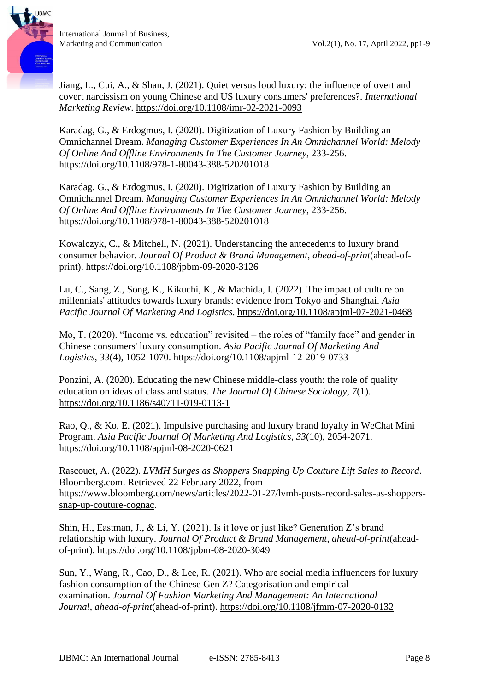Jiang, L., Cui, A., & Shan, J. (2021). Quiet versus loud luxury: the influence of overt and covert narcissism on young Chinese and US luxury consumers' preferences?. *International Marketing Review*.<https://doi.org/10.1108/imr-02-2021-0093>

Karadag, G., & Erdogmus, I. (2020). Digitization of Luxury Fashion by Building an Omnichannel Dream. *Managing Customer Experiences In An Omnichannel World: Melody Of Online And Offline Environments In The Customer Journey*, 233-256. <https://doi.org/10.1108/978-1-80043-388-520201018>

Karadag, G., & Erdogmus, I. (2020). Digitization of Luxury Fashion by Building an Omnichannel Dream. *Managing Customer Experiences In An Omnichannel World: Melody Of Online And Offline Environments In The Customer Journey*, 233-256. <https://doi.org/10.1108/978-1-80043-388-520201018>

Kowalczyk, C., & Mitchell, N. (2021). Understanding the antecedents to luxury brand consumer behavior. *Journal Of Product & Brand Management*, *ahead-of-print*(ahead-ofprint).<https://doi.org/10.1108/jpbm-09-2020-3126>

Lu, C., Sang, Z., Song, K., Kikuchi, K., & Machida, I. (2022). The impact of culture on millennials' attitudes towards luxury brands: evidence from Tokyo and Shanghai. *Asia Pacific Journal Of Marketing And Logistics*.<https://doi.org/10.1108/apjml-07-2021-0468>

Mo, T. (2020). "Income vs. education" revisited – the roles of "family face" and gender in Chinese consumers' luxury consumption. *Asia Pacific Journal Of Marketing And Logistics*, *33*(4), 1052-1070.<https://doi.org/10.1108/apjml-12-2019-0733>

Ponzini, A. (2020). Educating the new Chinese middle-class youth: the role of quality education on ideas of class and status. *The Journal Of Chinese Sociology*, *7*(1). <https://doi.org/10.1186/s40711-019-0113-1>

Rao, Q., & Ko, E. (2021). Impulsive purchasing and luxury brand loyalty in WeChat Mini Program. *Asia Pacific Journal Of Marketing And Logistics*, *33*(10), 2054-2071. <https://doi.org/10.1108/apjml-08-2020-0621>

Rascouet, A. (2022). *LVMH Surges as Shoppers Snapping Up Couture Lift Sales to Record*. Bloomberg.com. Retrieved 22 February 2022, from [https://www.bloomberg.com/news/articles/2022-01-27/lvmh-posts-record-sales-as-shoppers](https://www.bloomberg.com/news/articles/2022-01-27/lvmh-posts-record-sales-as-shoppers-snap-up-couture-cognac)[snap-up-couture-cognac.](https://www.bloomberg.com/news/articles/2022-01-27/lvmh-posts-record-sales-as-shoppers-snap-up-couture-cognac)

Shin, H., Eastman, J., & Li, Y. (2021). Is it love or just like? Generation Z's brand relationship with luxury. *Journal Of Product & Brand Management*, *ahead-of-print*(aheadof-print).<https://doi.org/10.1108/jpbm-08-2020-3049>

Sun, Y., Wang, R., Cao, D., & Lee, R. (2021). Who are social media influencers for luxury fashion consumption of the Chinese Gen Z? Categorisation and empirical examination. *Journal Of Fashion Marketing And Management: An International Journal*, *ahead-of-print*(ahead-of-print).<https://doi.org/10.1108/jfmm-07-2020-0132>